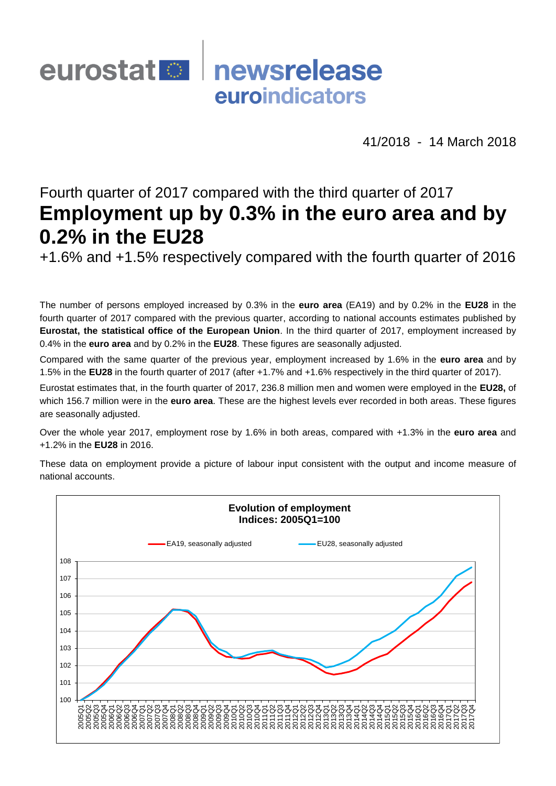# eurostat **De** newsrelease euroindicators

41/2018 - 14 March 2018

## Fourth quarter of 2017 compared with the third quarter of 2017 **Employment up by 0.3% in the euro area and by 0.2% in the EU28**

+1.6% and +1.5% respectively compared with the fourth quarter of 2016

The number of persons employed increased by 0.3% in the **euro area** (EA19) and by 0.2% in the **EU28** in the fourth quarter of 2017 compared with the previous quarter, according to national accounts estimates published by **Eurostat, the statistical office of the European Union**. In the third quarter of 2017, employment increased by 0.4% in the **euro area** and by 0.2% in the **EU28**. These figures are seasonally adjusted.

Compared with the same quarter of the previous year, employment increased by 1.6% in the **euro area** and by 1.5% in the **EU28** in the fourth quarter of 2017 (after +1.7% and +1.6% respectively in the third quarter of 2017).

Eurostat estimates that, in the fourth quarter of 2017, 236.8 million men and women were employed in the **EU28,** of which 156.7 million were in the **euro area**. These are the highest levels ever recorded in both areas. These figures are seasonally adjusted.

Over the whole year 2017, employment rose by 1.6% in both areas, compared with +1.3% in the **euro area** and +1.2% in the **EU28** in 2016.

These data on employment provide a picture of labour input consistent with the output and income measure of national accounts.

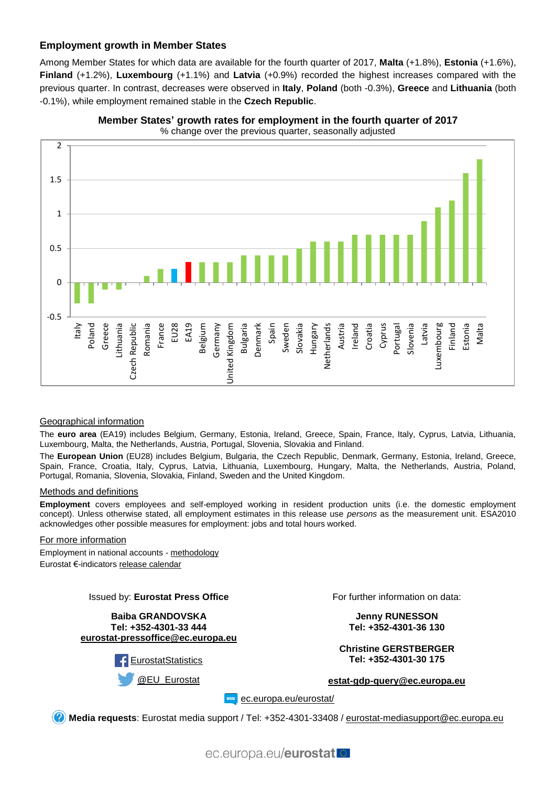#### **Employment growth in Member States**

Among Member States for which data are available for the fourth quarter of 2017, **Malta** (+1.8%), **Estonia** (+1.6%), **Finland** (+1.2%), **Luxembourg** (+1.1%) and **Latvia** (+0.9%) recorded the highest increases compared with the previous quarter. In contrast, decreases were observed in **Italy**, **Poland** (both -0.3%), **Greece** and **Lithuania** (both -0.1%), while employment remained stable in the **Czech Republic**.



**Member States' growth rates for employment in the fourth quarter of 2017** % change over the previous quarter, seasonally adjusted

#### Geographical information

The **euro area** (EA19) includes Belgium, Germany, Estonia, Ireland, Greece, Spain, France, Italy, Cyprus, Latvia, Lithuania, Luxembourg, Malta, the Netherlands, Austria, Portugal, Slovenia, Slovakia and Finland.

The **European Union** (EU28) includes Belgium, Bulgaria, the Czech Republic, Denmark, Germany, Estonia, Ireland, Greece, Spain, France, Croatia, Italy, Cyprus, Latvia, Lithuania, Luxembourg, Hungary, Malta, the Netherlands, Austria, Poland, Portugal, Romania, Slovenia, Slovakia, Finland, Sweden and the United Kingdom.

#### Methods and definitions

**Employment** covers employees and self-employed working in resident production units (i.e. the domestic employment concept). Unless otherwise stated, all employment estimates in this release use *persons* as the measurement unit. ESA2010 acknowledges other possible measures for employment: jobs and total hours worked.

#### For more information

Employment in national accounts - [methodology](http://ec.europa.eu/eurostat/web/national-accounts/methodology/european-accounts/employment) Eurostat €-indicator[s release calendar](http://ec.europa.eu/eurostat/news/release-calendar)

#### Issued by: **Eurostat Press Office**

**Baiba GRANDOVSKA Tel: +352-4301-33 444 [eurostat-pressoffice@ec.europa.eu](mailto:eurostat-pressoffice@ec.europa.eu)**



For further information on data:

**Jenny RUNESSON Tel: +352-4301-36 130**

**Christine GERSTBERGER Tel: +352-4301-30 175**

**[estat-gdp-query@ec.europa.eu](mailto:estat-gdp-query@ec.europa.eu)**

**EXAMPLE CONCERNATION** 

**Media requests**: Eurostat media support / Tel: +352-4301-33408 / [eurostat-mediasupport@ec.europa.eu](mailto:eurostat-mediasupport@ec.europa.eu)

ec.europa.eu/eurostat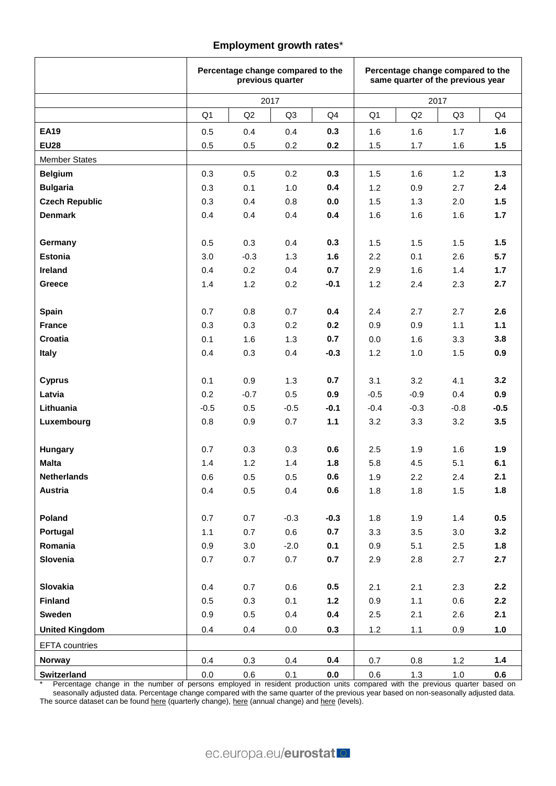#### **Employment growth rates**\*

|                         |                | Percentage change compared to the<br>previous quarter |                |            | Percentage change compared to the<br>same quarter of the previous year |            |                |            |  |  |  |  |  |
|-------------------------|----------------|-------------------------------------------------------|----------------|------------|------------------------------------------------------------------------|------------|----------------|------------|--|--|--|--|--|
|                         |                | 2017                                                  |                |            |                                                                        | 2017       |                |            |  |  |  |  |  |
|                         | Q <sub>1</sub> | Q2                                                    | Q <sub>3</sub> | Q4         | Q <sub>1</sub>                                                         | Q2         | Q <sub>3</sub> | Q4         |  |  |  |  |  |
| <b>EA19</b>             | 0.5            | 0.4                                                   | 0.4            | 0.3        | 1.6                                                                    | 1.6        | 1.7            | 1.6        |  |  |  |  |  |
| <b>EU28</b>             | 0.5            | 0.5                                                   | 0.2            | 0.2        | 1.5                                                                    | 1.7        | 1.6            | 1.5        |  |  |  |  |  |
| <b>Member States</b>    |                |                                                       |                |            |                                                                        |            |                |            |  |  |  |  |  |
| <b>Belgium</b>          | 0.3            | 0.5                                                   | 0.2            | 0.3        | 1.5                                                                    | 1.6        | 1.2            | 1.3        |  |  |  |  |  |
| <b>Bulgaria</b>         | 0.3            | 0.1                                                   | 1.0            | 0.4        | 1.2                                                                    | 0.9        | 2.7            | 2.4        |  |  |  |  |  |
| <b>Czech Republic</b>   | 0.3            | 0.4                                                   | 0.8            | 0.0        | 1.5                                                                    | 1.3        | 2.0            | 1.5        |  |  |  |  |  |
| <b>Denmark</b>          | 0.4            | 0.4                                                   | 0.4            | 0.4        | 1.6                                                                    | 1.6        | 1.6            | 1.7        |  |  |  |  |  |
|                         |                |                                                       |                |            |                                                                        |            |                |            |  |  |  |  |  |
| Germany                 | 0.5            | 0.3                                                   | 0.4            | 0.3        | 1.5                                                                    | 1.5        | 1.5            | 1.5        |  |  |  |  |  |
| <b>Estonia</b>          | 3.0            | $-0.3$                                                | 1.3            | 1.6        | 2.2                                                                    | 0.1        | 2.6            | 5.7        |  |  |  |  |  |
| Ireland                 | 0.4            | 0.2                                                   | 0.4            | 0.7        | 2.9                                                                    | 1.6        | 1.4            | 1.7        |  |  |  |  |  |
| Greece                  | 1.4            | 1.2                                                   | 0.2            | $-0.1$     | 1.2                                                                    | 2.4        | 2.3            | 2.7        |  |  |  |  |  |
|                         |                |                                                       |                |            |                                                                        |            |                |            |  |  |  |  |  |
| <b>Spain</b>            | 0.7            | 0.8                                                   | 0.7            | 0.4        | 2.4                                                                    | 2.7        | 2.7            | 2.6        |  |  |  |  |  |
| <b>France</b>           | 0.3            | 0.3                                                   | 0.2            | 0.2        | 0.9                                                                    | 0.9        | 1.1            | $1.1$      |  |  |  |  |  |
| Croatia                 | 0.1            | 1.6                                                   | 1.3            | 0.7        | 0.0                                                                    | 1.6        | 3.3            | 3.8        |  |  |  |  |  |
| <b>Italy</b>            | 0.4            | 0.3                                                   | 0.4            | $-0.3$     | 1.2                                                                    | 1.0        | 1.5            | 0.9        |  |  |  |  |  |
|                         |                |                                                       |                |            |                                                                        |            |                |            |  |  |  |  |  |
| <b>Cyprus</b>           | 0.1            | 0.9                                                   | 1.3            | 0.7        | 3.1                                                                    | 3.2        | 4.1            | 3.2        |  |  |  |  |  |
| Latvia                  | 0.2            | $-0.7$                                                | 0.5            | 0.9        | $-0.5$                                                                 | $-0.9$     | 0.4            | 0.9        |  |  |  |  |  |
| Lithuania               | $-0.5$         | 0.5                                                   | $-0.5$         | $-0.1$     | $-0.4$                                                                 | $-0.3$     | $-0.8$         | $-0.5$     |  |  |  |  |  |
| Luxembourg              | 0.8            | 0.9                                                   | 0.7            | 1.1        | 3.2                                                                    | 3.3        | 3.2            | 3.5        |  |  |  |  |  |
|                         |                |                                                       |                |            |                                                                        |            |                |            |  |  |  |  |  |
| Hungary<br><b>Malta</b> | 0.7<br>1.4     | 0.3<br>1.2                                            | 0.3<br>1.4     | 0.6<br>1.8 | 2.5<br>5.8                                                             | 1.9<br>4.5 | 1.6<br>5.1     | 1.9<br>6.1 |  |  |  |  |  |
| <b>Netherlands</b>      | $0.6\,$        | $0.5\,$                                               | $0.5\,$        | $0.6\,$    | 1.9                                                                    | $2.2\,$    | 2.4            | 2.1        |  |  |  |  |  |
| Austria                 | 0.4            | 0.5                                                   | 0.4            | 0.6        | 1.8                                                                    | 1.8        | 1.5            | 1.8        |  |  |  |  |  |
|                         |                |                                                       |                |            |                                                                        |            |                |            |  |  |  |  |  |
| Poland                  | 0.7            | 0.7                                                   | $-0.3$         | $-0.3$     | 1.8                                                                    | 1.9        | $1.4$          | 0.5        |  |  |  |  |  |
| Portugal                | 1.1            | 0.7                                                   | 0.6            | 0.7        | 3.3                                                                    | $3.5\,$    | 3.0            | 3.2        |  |  |  |  |  |
| Romania                 | 0.9            | 3.0                                                   | $-2.0$         | 0.1        | 0.9                                                                    | 5.1        | 2.5            | 1.8        |  |  |  |  |  |
| Slovenia                | 0.7            | 0.7                                                   | 0.7            | 0.7        | 2.9                                                                    | 2.8        | 2.7            | 2.7        |  |  |  |  |  |
|                         |                |                                                       |                |            |                                                                        |            |                |            |  |  |  |  |  |
| Slovakia                | 0.4            | 0.7                                                   | 0.6            | 0.5        | 2.1                                                                    | 2.1        | 2.3            | 2.2        |  |  |  |  |  |
| <b>Finland</b>          | 0.5            | 0.3                                                   | 0.1            | $1.2$      | 0.9                                                                    | 1.1        | 0.6            | 2.2        |  |  |  |  |  |
| <b>Sweden</b>           | 0.9            | 0.5                                                   | 0.4            | 0.4        | 2.5                                                                    | 2.1        | 2.6            | 2.1        |  |  |  |  |  |
| <b>United Kingdom</b>   | 0.4            | 0.4                                                   | 0.0            | 0.3        | 1.2                                                                    | 1.1        | 0.9            | 1.0        |  |  |  |  |  |
| EFTA countries          |                |                                                       |                |            |                                                                        |            |                |            |  |  |  |  |  |
| Norway                  | 0.4            | 0.3                                                   | 0.4            | 0.4        | 0.7                                                                    | 0.8        | 1.2            | 1.4        |  |  |  |  |  |
| Switzerland             | 0.0            | 0.6                                                   | 0.1            | 0.0        | 0.6                                                                    | 1.3        | 1.0            | 0.6        |  |  |  |  |  |

\* Percentage change in the number of persons employed in resident production units compared with the previous quarter based on seasonally adjusted data. Percentage change compared with the same quarter of the previous year based on non-seasonally adjusted data. The source dataset can be foun[d here](http://ec.europa.eu/eurostat/tgm/table.do?tab=table&init=1&plugin=1&pcode=tec00109&language=en) (quarterly change)[, here](http://ec.europa.eu/eurostat/tgm/table.do?tab=table&init=1&plugin=1&pcode=teina305&language=en) (annual change) and here (levels).